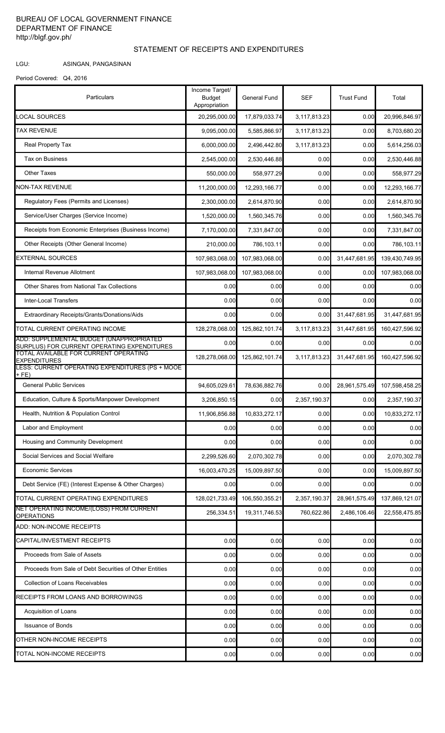## BUREAU OF LOCAL GOVERNMENT FINANCE DEPARTMENT OF FINANCE http://blgf.gov.ph/

## STATEMENT OF RECEIPTS AND EXPENDITURES

LGU: ASINGAN, PANGASINAN

Period Covered: Q4, 2016

| Particulars                                                                             | Income Target/<br><b>Budget</b><br>Appropriation | <b>General Fund</b> | <b>SEF</b>   | <b>Trust Fund</b> | Total          |
|-----------------------------------------------------------------------------------------|--------------------------------------------------|---------------------|--------------|-------------------|----------------|
| <b>LOCAL SOURCES</b>                                                                    | 20,295,000.00                                    | 17,879,033.74       | 3,117,813.23 | 0.00              | 20,996,846.97  |
| TAX REVENUE                                                                             | 9,095,000.00                                     | 5,585,866.97        | 3,117,813.23 | 0.00              | 8,703,680.20   |
| Real Property Tax                                                                       | 6,000,000.00                                     | 2,496,442.80        | 3,117,813.23 | 0.00              | 5,614,256.03   |
| Tax on Business                                                                         | 2,545,000.00                                     | 2,530,446.88        | 0.00         | 0.00              | 2,530,446.88   |
| <b>Other Taxes</b>                                                                      | 550,000.00                                       | 558,977.29          | 0.00         | 0.00              | 558,977.29     |
| <b>NON-TAX REVENUE</b>                                                                  | 11,200,000.00                                    | 12,293,166.77       | 0.00         | 0.00              | 12,293,166.77  |
| Regulatory Fees (Permits and Licenses)                                                  | 2,300,000.00                                     | 2,614,870.90        | 0.00         | 0.00              | 2,614,870.90   |
| Service/User Charges (Service Income)                                                   | 1,520,000.00                                     | 1,560,345.76        | 0.00         | 0.00              | 1,560,345.76   |
| Receipts from Economic Enterprises (Business Income)                                    | 7,170,000.00                                     | 7,331,847.00        | 0.00         | 0.00              | 7,331,847.00   |
| Other Receipts (Other General Income)                                                   | 210,000.00                                       | 786,103.11          | 0.00         | 0.00              | 786,103.11     |
| <b>EXTERNAL SOURCES</b>                                                                 | 107,983,068.00                                   | 107,983,068.00      | 0.00         | 31,447,681.95     | 139,430,749.95 |
| Internal Revenue Allotment                                                              | 107,983,068.00                                   | 107,983,068.00      | 0.00         | 0.00              | 107,983,068.00 |
| Other Shares from National Tax Collections                                              | 0.00                                             | 0.00                | 0.00         | 0.00              | 0.00           |
| <b>Inter-Local Transfers</b>                                                            | 0.00                                             | 0.00                | 0.00         | 0.00              | 0.00           |
| Extraordinary Receipts/Grants/Donations/Aids                                            | 0.00                                             | 0.00                | 0.00         | 31,447,681.95     | 31,447,681.95  |
| TOTAL CURRENT OPERATING INCOME                                                          | 128,278,068.00                                   | 125,862,101.74      | 3,117,813.23 | 31,447,681.95     | 160,427,596.92 |
| ADD: SUPPLEMENTAL BUDGET (UNAPPROPRIATED<br>SURPLUS) FOR CURRENT OPERATING EXPENDITURES | 0.00                                             | 0.00                | 0.00         | 0.00              | 0.00           |
| TOTAL AVAILABLE FOR CURRENT OPERATING<br><b>EXPENDITURES</b>                            | 128,278,068.00                                   | 125,862,101.74      | 3,117,813.23 | 31,447,681.95     | 160,427,596.92 |
| LESS: CURRENT OPERATING EXPENDITURES (PS + MOOE<br>$+$ FE)                              |                                                  |                     |              |                   |                |
| <b>General Public Services</b>                                                          | 94,605,029.61                                    | 78,636,882.76       | 0.00         | 28,961,575.49     | 107,598,458.25 |
| Education, Culture & Sports/Manpower Development                                        | 3,206,850.15                                     | 0.00                | 2,357,190.37 | 0.00              | 2,357,190.37   |
| Health, Nutrition & Population Control                                                  | 11,906,856.88                                    | 10,833,272.17       | 0.00         | 0.00              | 10,833,272.17  |
| Labor and Employment                                                                    | 0.00                                             | 0.00                | 0.00         | 0.00              | 0.00           |
| Housing and Community Development                                                       | 0.00                                             | 0.00                | 0.00         | 0.00              | 0.00           |
| Social Services and Social Welfare                                                      | 2,299,526.60                                     | 2,070,302.78        | 0.00         | 0.00              | 2,070,302.78   |
| <b>Economic Services</b>                                                                | 16,003,470.25                                    | 15,009,897.50       | 0.00         | 0.00              | 15,009,897.50  |
| Debt Service (FE) (Interest Expense & Other Charges)                                    | 0.00                                             | 0.00                | 0.00         | 0.00              | 0.00           |
| TOTAL CURRENT OPERATING EXPENDITURES                                                    | 128,021,733.49                                   | 106,550,355.21      | 2,357,190.37 | 28,961,575.49     | 137,869,121.07 |
| NET OPERATING INCOME/(LOSS) FROM CURRENT<br><b>OPERATIONS</b>                           | 256,334.51                                       | 19,311,746.53       | 760,622.86   | 2,486,106.46      | 22,558,475.85  |
| ADD: NON-INCOME RECEIPTS                                                                |                                                  |                     |              |                   |                |
| CAPITAL/INVESTMENT RECEIPTS                                                             | 0.00                                             | 0.00                | 0.00         | 0.00              | 0.00           |
| Proceeds from Sale of Assets                                                            | 0.00                                             | 0.00                | 0.00         | 0.00              | 0.00           |
| Proceeds from Sale of Debt Securities of Other Entities                                 | 0.00                                             | 0.00                | 0.00         | 0.00              | 0.00           |
| <b>Collection of Loans Receivables</b>                                                  | 0.00                                             | 0.00                | 0.00         | 0.00              | 0.00           |
| RECEIPTS FROM LOANS AND BORROWINGS                                                      | 0.00                                             | 0.00                | 0.00         | 0.00              | 0.00           |
| Acquisition of Loans                                                                    | 0.00                                             | 0.00                | 0.00         | 0.00              | 0.00           |
| <b>Issuance of Bonds</b>                                                                | 0.00                                             | 0.00                | 0.00         | 0.00              | 0.00           |
| OTHER NON-INCOME RECEIPTS                                                               | 0.00                                             | 0.00                | 0.00         | 0.00              | 0.00           |
| TOTAL NON-INCOME RECEIPTS                                                               | 0.00                                             | 0.00                | 0.00         | 0.00              | 0.00           |